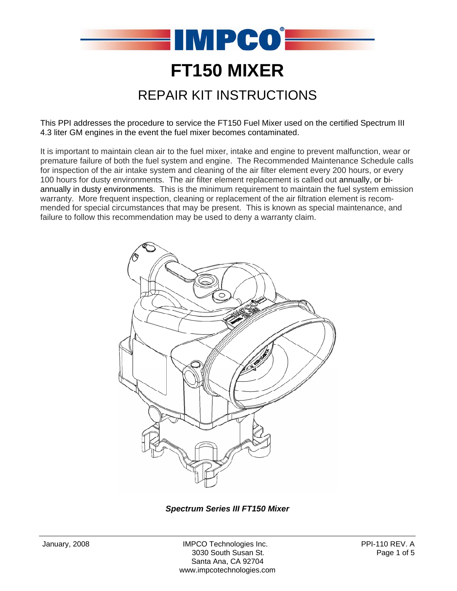

This PPI addresses the procedure to service the FT150 Fuel Mixer used on the certified Spectrum III 4.3 liter GM engines in the event the fuel mixer becomes contaminated.

It is important to maintain clean air to the fuel mixer, intake and engine to prevent malfunction, wear or premature failure of both the fuel system and engine. The Recommended Maintenance Schedule calls for inspection of the air intake system and cleaning of the air filter element every 200 hours, or every 100 hours for dusty environments. The air filter element replacement is called out annually, or biannually in dusty environments. This is the minimum requirement to maintain the fuel system emission warranty. More frequent inspection, cleaning or replacement of the air filtration element is recommended for special circumstances that may be present. This is known as special maintenance, and failure to follow this recommendation may be used to deny a warranty claim.



*Spectrum Series III FT150 Mixer*

January, 2008 **IMPCO Technologies Inc.** PPI-110 REV. A 3030 South Susan St. Page 1 of 5 Santa Ana, CA 92704 www.impcotechnologies.com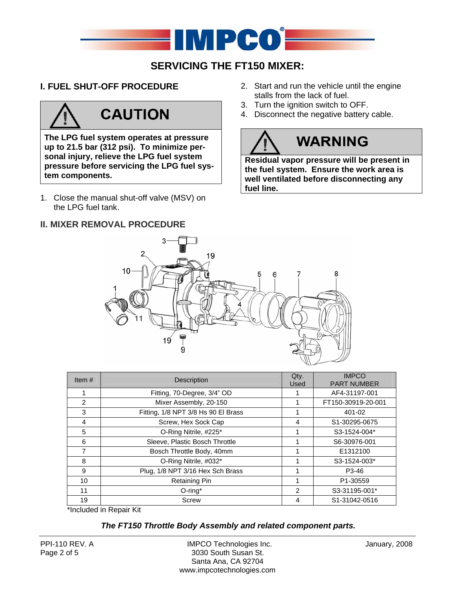

## **SERVICING THE FT150 MIXER:**

## **I. FUEL SHUT-OFF PROCEDURE**

# **CAUTION**

**The LPG fuel system operates at pressure up to 21.5 bar (312 psi). To minimize personal injury, relieve the LPG fuel system pressure before servicing the LPG fuel system components.** 

1. Close the manual shut-off valve (MSV) on the LPG fuel tank.

## **II. MIXER REMOVAL PROCEDURE**

- 2. Start and run the vehicle until the engine stalls from the lack of fuel.
- 3. Turn the ignition switch to OFF.
- 4. Disconnect the negative battery cable.

# **WARNING**

**Residual vapor pressure will be present in the fuel system. Ensure the work area is well ventilated before disconnecting any fuel line.** 



| Item $#$       | Description                         | Qty.<br>Used | <b>IMPCO</b><br><b>PART NUMBER</b> |  |
|----------------|-------------------------------------|--------------|------------------------------------|--|
|                | Fitting, 70-Degree, 3/4" OD         |              | AF4-31197-001                      |  |
| $\mathcal{P}$  | Mixer Assembly, 20-150              |              | FT150-30919-20-001                 |  |
| 3              | Fitting, 1/8 NPT 3/8 Hs 90 El Brass |              | 401-02                             |  |
| 4              | Screw, Hex Sock Cap                 | 4            | S1-30295-0675                      |  |
| 5              | O-Ring Nitrile, #225*               |              | S3-1524-004*                       |  |
| 6              | Sleeve, Plastic Bosch Throttle      |              | S6-30976-001                       |  |
| $\overline{7}$ | Bosch Throttle Body, 40mm           |              | E1312100                           |  |
| 8              | O-Ring Nitrile, #032*               |              | S3-1524-003*                       |  |
| 9              | Plug, 1/8 NPT 3/16 Hex Sch Brass    |              | P3-46                              |  |
| 10             | <b>Retaining Pin</b>                |              | P1-30559                           |  |
| 11             | $O$ -ring*                          | 2            | S3-31195-001*                      |  |
| 19             | Screw                               | 4            | S1-31042-0516                      |  |

\*Included in Repair Kit

## *The FT150 Throttle Body Assembly and related component parts.*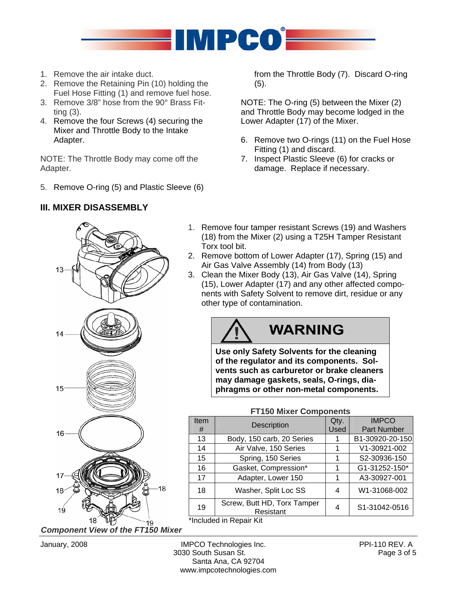

- 1. Remove the air intake duct.
- 2. Remove the Retaining Pin (10) holding the Fuel Hose Fitting (1) and remove fuel hose.
- 3. Remove 3/8" hose from the 90° Brass Fitting (3).
- 4. Remove the four Screws (4) securing the Mixer and Throttle Body to the Intake Adapter.

NOTE: The Throttle Body may come off the Adapter.

5. Remove O-ring (5) and Plastic Sleeve (6)

## **III. MIXER DISASSEMBLY**

from the Throttle Body (7). Discard O-ring (5).

NOTE: The O-ring (5) between the Mixer (2) and Throttle Body may become lodged in the Lower Adapter (17) of the Mixer.

- 6. Remove two O-rings (11) on the Fuel Hose Fitting (1) and discard.
- 7. Inspect Plastic Sleeve (6) for cracks or damage. Replace if necessary.
- 1. Remove four tamper resistant Screws (19) and Washers (18) from the Mixer (2) using a T25H Tamper Resistant Torx tool bit.
- 2. Remove bottom of Lower Adapter (17), Spring (15) and Air Gas Valve Assembly (14) from Body (13)
- 3. Clean the Mixer Body (13), Air Gas Valve (14), Spring (15), Lower Adapter (17) and any other affected components with Safety Solvent to remove dirt, residue or any other type of contamination.

## **WARNING**

**Use only Safety Solvents for the cleaning of the regulator and its components. Solvents such as carburetor or brake cleaners may damage gaskets, seals, O-rings, diaphragms or other non-metal components.** 



#### **FT150 Mixer Components**

| Item | <b>Description</b>                                                                                              | Qty.        | <b>IMPCO</b>       |
|------|-----------------------------------------------------------------------------------------------------------------|-------------|--------------------|
| #    |                                                                                                                 | <b>Used</b> | <b>Part Number</b> |
| 13   | Body, 150 carb, 20 Series                                                                                       |             | B1-30920-20-150    |
| 14   | Air Valve, 150 Series                                                                                           | 1           | V1-30921-002       |
| 15   | Spring, 150 Series                                                                                              |             | S2-30936-150       |
| 16   | Gasket, Compression*                                                                                            |             | G1-31252-150*      |
| 17   | Adapter, Lower 150                                                                                              |             | A3-30927-001       |
| 18   | Washer, Split Loc SS                                                                                            | 4           | W1-31068-002       |
| 19   | Screw, Butt HD, Torx Tamper<br>Resistant                                                                        | 4           | S1-31042-0516      |
|      | and the state of the state of the state of the state of the state of the state of the state of the state of the |             |                    |

\*Included in Repair Kit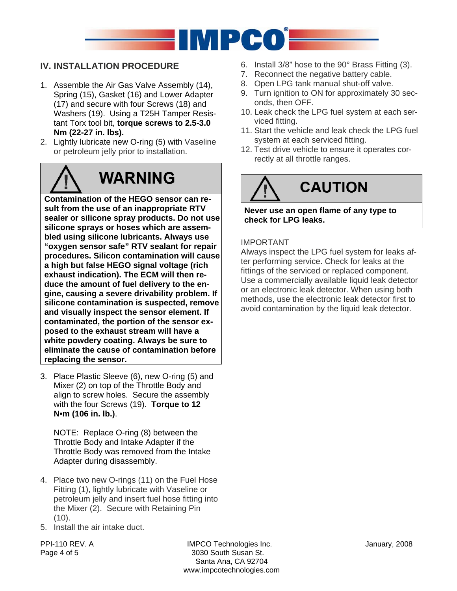

## **IV. INSTALLATION PROCEDURE**

- 1. Assemble the Air Gas Valve Assembly (14), Spring (15), Gasket (16) and Lower Adapter (17) and secure with four Screws (18) and Washers (19). Using a T25H Tamper Resistant Torx tool bit, **torque screws to 2.5-3.0 Nm (22-27 in. lbs).**
- 2. Lightly lubricate new O-ring (5) with Vaseline or petroleum jelly prior to installation.

# **WARNING**

**Contamination of the HEGO sensor can result from the use of an inappropriate RTV sealer or silicone spray products. Do not use silicone sprays or hoses which are assembled using silicone lubricants. Always use "oxygen sensor safe" RTV sealant for repair procedures. Silicon contamination will cause a high but false HEGO signal voltage (rich exhaust indication). The ECM will then reduce the amount of fuel delivery to the engine, causing a severe drivability problem. If silicone contamination is suspected, remove and visually inspect the sensor element. If contaminated, the portion of the sensor exposed to the exhaust stream will have a white powdery coating. Always be sure to eliminate the cause of contamination before replacing the sensor.** 

3. Place Plastic Sleeve (6), new O-ring (5) and Mixer (2) on top of the Throttle Body and align to screw holes. Secure the assembly with the four Screws (19). **Torque to 12 N•m (106 in. lb.)**.

NOTE: Replace O-ring (8) between the Throttle Body and Intake Adapter if the Throttle Body was removed from the Intake Adapter during disassembly.

- 4. Place two new O-rings (11) on the Fuel Hose Fitting (1), lightly lubricate with Vaseline or petroleum jelly and insert fuel hose fitting into the Mixer (2). Secure with Retaining Pin  $(10).$
- 5. Install the air intake duct.
- 6. Install 3/8" hose to the 90° Brass Fitting (3).
- 7. Reconnect the negative battery cable.
- 8. Open LPG tank manual shut-off valve.
- 9. Turn ignition to ON for approximately 30 seconds, then OFF.
- 10. Leak check the LPG fuel system at each serviced fitting.
- 11. Start the vehicle and leak check the LPG fuel system at each serviced fitting.
- 12. Test drive vehicle to ensure it operates correctly at all throttle ranges.



**Never use an open flame of any type to check for LPG leaks.** 

### IMPORTANT

Always inspect the LPG fuel system for leaks after performing service. Check for leaks at the fittings of the serviced or replaced component. Use a commercially available liquid leak detector or an electronic leak detector. When using both methods, use the electronic leak detector first to avoid contamination by the liquid leak detector.